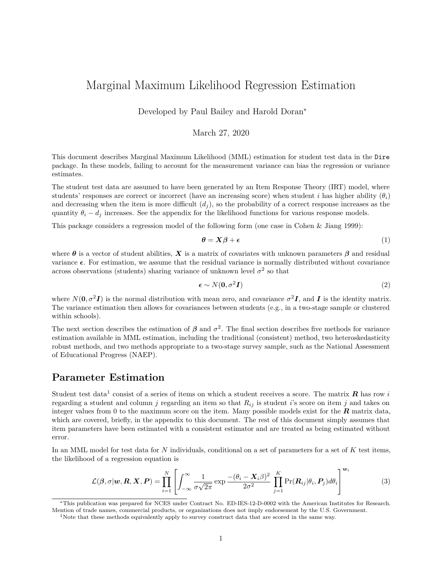# Marginal Maximum Likelihood Regression Estimation

Developed by Paul Bailey and Harold Doran<sup>∗</sup>

#### March 27, 2020

This document describes Marginal Maximum Likelihood (MML) estimation for student test data in the Dire package. In these models, failing to account for the measurement variance can bias the regression or variance estimates.

The student test data are assumed to have been generated by an Item Response Theory (IRT) model, where students' responses are correct or incorrect (have an increasing score) when student *i* has higher ability  $(\theta_i)$ and decreasing when the item is more difficult  $(d_i)$ , so the probability of a correct response increases as the quantity  $\theta_i - d_j$  increases. See the appendix for the likelihood functions for various response models.

This package considers a regression model of the following form (one case in Cohen & Jiang 1999):

$$
\boldsymbol{\theta} = \mathbf{X}\boldsymbol{\beta} + \boldsymbol{\epsilon} \tag{1}
$$

where  $\theta$  is a vector of student abilities,  $X$  is a matrix of covariates with unknown parameters  $\beta$  and residual variance *ϵ*. For estimation, we assume that the residual variance is normally distributed without covariance across observations (students) sharing variance of unknown level  $\sigma^2$  so that

$$
\epsilon \sim N(\mathbf{0}, \sigma^2 \mathbf{I}) \tag{2}
$$

where  $N(\mathbf{0}, \sigma^2 \mathbf{I})$  is the normal distribution with mean zero, and covariance  $\sigma^2 \mathbf{I}$ , and  $\mathbf{I}$  is the identity matrix. The variance estimation then allows for covariances between students (e.g., in a two-stage sample or clustered within schools).

The next section describes the estimation of  $\beta$  and  $\sigma^2$ . The final section describes five methods for variance estimation available in MML estimation, including the traditional (consistent) method, two heteroskedasticity robust methods, and two methods appropriate to a two-stage survey sample, such as the National Assessment of Educational Progress (NAEP).

## **Parameter Estimation**

Student test data<sup>[1](#page-0-0)</sup> consist of a series of items on which a student receives a score. The matrix  $R$  has row *i* regarding a student and column *j* regarding an item so that  $R_{ij}$  is student *i*'s score on item *j* and takes on integer values from 0 to the maximum score on the item. Many possible models exist for the *R* matrix data, which are covered, briefly, in the appendix to this document. The rest of this document simply assumes that item parameters have been estimated with a consistent estimator and are treated as being estimated without error.

In an MML model for test data for *N* individuals, conditional on a set of parameters for a set of *K* test items, the likelihood of a regression equation is

$$
\mathcal{L}(\beta, \sigma | \boldsymbol{w}, \boldsymbol{R}, \boldsymbol{X}, \boldsymbol{P}) = \prod_{i=1}^{N} \left[ \int_{-\infty}^{\infty} \frac{1}{\sigma \sqrt{2\pi}} \exp \frac{-(\theta_i - \boldsymbol{X}_i \beta)^2}{2\sigma^2} \prod_{j=1}^{K} \Pr(\boldsymbol{R}_{ij} | \theta_i, \boldsymbol{P}_j) d\theta_i \right]^{\boldsymbol{w}_i}
$$
(3)

<sup>∗</sup>This publication was prepared for NCES under Contract No. ED-IES-12-D-0002 with the American Institutes for Research. Mention of trade names, commercial products, or organizations does not imply endorsement by the U.S. Government.

<span id="page-0-0"></span><sup>&</sup>lt;sup>1</sup>Note that these methods equivalently apply to survey construct data that are scored in the same way.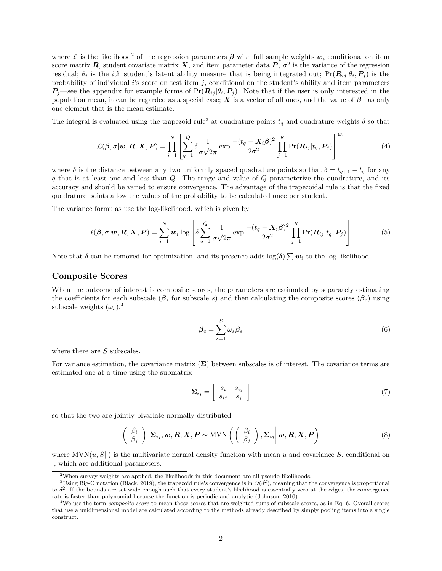where L is the likelihood<sup>[2](#page-1-0)</sup> of the regression parameters  $\beta$  with full sample weights  $w_i$  conditional on item score matrix  $\vec{R}$ , student covariate matrix  $\vec{X}$ , and item parameter data  $\vec{P}$ ;  $\sigma^2$  is the variance of the regression residual;  $\theta_i$  is the *i*th student's latent ability measure that is being integrated out;  $Pr(R_{ij}|\theta_i, P_j)$  is the probability of individual  $i$ 's score on test item  $j$ , conditional on the student's ability and item parameters  $P_j$ —see the appendix for example forms of  $Pr(R_{ij}|\theta_i, P_j)$ . Note that if the user is only interested in the population mean, it can be regarded as a special case; **X** is a vector of all ones, and the value of  $\beta$  has only one element that is the mean estimate.

The integral is evaluated using the trapezoid rule<sup>[3](#page-1-1)</sup> at quadrature points  $t_q$  and quadrature weights  $\delta$  so that

$$
\mathcal{L}(\beta, \sigma | \boldsymbol{w}, \boldsymbol{R}, \boldsymbol{X}, \boldsymbol{P}) = \prod_{i=1}^{N} \left[ \sum_{q=1}^{Q} \delta \frac{1}{\sigma \sqrt{2\pi}} \exp \frac{-(t_q - \boldsymbol{X}_i \beta)^2}{2\sigma^2} \prod_{j=1}^{K} \Pr(\boldsymbol{R}_{ij} | t_q, \boldsymbol{P}_j) \right]^{\boldsymbol{w}_i}
$$
(4)

where  $\delta$  is the distance between any two uniformly spaced quadrature points so that  $\delta = t_{q+1} - t_q$  for any *q* that is at least one and less than *Q*. The range and value of *Q* parameterize the quadrature, and its accuracy and should be varied to ensure convergence. The advantage of the trapezoidal rule is that the fixed quadrature points allow the values of the probability to be calculated once per student.

The variance formulas use the log-likelihood, which is given by

$$
\ell(\boldsymbol{\beta}, \sigma | \boldsymbol{w}, \boldsymbol{R}, \boldsymbol{X}, \boldsymbol{P}) = \sum_{i=1}^{N} \boldsymbol{w}_i \log \left[ \delta \sum_{q=1}^{Q} \frac{1}{\sigma \sqrt{2\pi}} \exp \frac{-(t_q - \boldsymbol{X}_i \boldsymbol{\beta})^2}{2\sigma^2} \prod_{j=1}^{K} \Pr(\boldsymbol{R}_{ij} | t_q, \boldsymbol{P}_j) \right]
$$
(5)

Note that  $\delta$  can be removed for optimization, and its presence adds  $\log(\delta) \sum w_i$  to the log-likelihood.

#### **Composite Scores**

When the outcome of interest is composite scores, the parameters are estimated by separately estimating the coefficients for each subscale  $(\beta_s$  for subscale *s*) and then calculating the composite scores  $(\beta_c)$  using subscale weights  $(\omega_s)^4$  $(\omega_s)^4$ .

<span id="page-1-3"></span>
$$
\beta_c = \sum_{s=1}^{S} \omega_s \beta_s \tag{6}
$$

where there are *S* subscales.

For variance estimation, the covariance matrix (**Σ**) between subscales is of interest. The covariance terms are estimated one at a time using the submatrix

$$
\Sigma_{ij} = \left[ \begin{array}{cc} s_i & s_{ij} \\ s_{ij} & s_j \end{array} \right] \tag{7}
$$

so that the two are jointly bivariate normally distributed

$$
\begin{pmatrix}\n\beta_i \\
\beta_j\n\end{pmatrix} | \mathbf{\Sigma}_{ij}, \mathbf{w}, \mathbf{R}, \mathbf{X}, \mathbf{P} \sim \text{MVN}\left( \begin{pmatrix} \beta_i \\
\beta_j\n\end{pmatrix}, \mathbf{\Sigma}_{ij} | \mathbf{w}, \mathbf{R}, \mathbf{X}, \mathbf{P} \right)
$$
\n(8)

where  $MVN(u, S|\cdot)$  is the multivariate normal density function with mean *u* and covariance *S*, conditional on ·, which are additional parameters.

<span id="page-1-1"></span><span id="page-1-0"></span><sup>&</sup>lt;sup>2</sup>When survey weights are applied, the likelihoods in this document are all pseudo-likelihoods.

<sup>&</sup>lt;sup>3</sup>Using Big-O notation (Black, 2019), the trapezoid rule's convergence is in  $O(\delta^2)$ , meaning that the convergence is proportional to δ<sup>2</sup>. If the bounds are set wide enough such that every student's likelihood is essentially zero at the edges, the convergence rate is faster than polynomial because the function is periodic and analytic (Johnson, 2010).

<span id="page-1-2"></span><sup>&</sup>lt;sup>4</sup>We use the term *composite score* to mean those scores that are weighted sums of subscale scores, as in Eq. [6.](#page-1-3) Overall scores that use a unidimensional model are calculated according to the methods already described by simply pooling items into a single construct.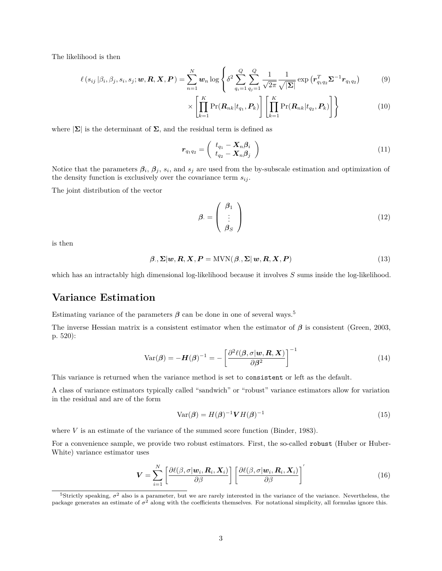The likelihood is then

$$
\ell\left(s_{ij}\left|\beta_i,\beta_j,s_i,s_j;\mathbf{w},\mathbf{R},\mathbf{X},\mathbf{P}\right.\right)=\sum_{n=1}^N\mathbf{w}_n\log\left\{\delta^2\sum_{q_i=1}^Q\sum_{q_j=1}^Q\frac{1}{\sqrt{2\pi}}\frac{1}{\sqrt{|\boldsymbol{\Sigma}|}}\exp\left(\mathbf{r}_{q_1q_2}^T\boldsymbol{\Sigma}^{-1}\mathbf{r}_{q_1q_2}\right)\right.\tag{9}
$$

$$
\times \left[ \prod_{k=1}^{K} \Pr(\mathbf{R}_{nk} | t_{q_1}, \mathbf{P}_k) \right] \left[ \prod_{k=1}^{K} \Pr(\mathbf{R}_{nk} | t_{q_2}, \mathbf{P}_k) \right] \right\}
$$
(10)

where  $|\Sigma|$  is the determinant of  $\Sigma$ , and the residual term is defined as

$$
r_{q_1q_2} = \begin{pmatrix} t_{q_1} - \mathbf{X}_n \beta_i \\ t_{q_2} - \mathbf{X}_n \beta_j \end{pmatrix}
$$
 (11)

Notice that the parameters  $\beta_i$ ,  $\beta_j$ ,  $s_i$ , and  $s_j$  are used from the by-subscale estimation and optimization of the density function is exclusively over the covariance term  $s_{ij}$ .

The joint distribution of the vector

<span id="page-2-2"></span>
$$
\beta = \begin{pmatrix} \beta_1 \\ \vdots \\ \beta_S \end{pmatrix} \tag{12}
$$

is then

$$
\beta., \Sigma | w, R, X, P = \text{MVN}(\beta., \Sigma | w, R, X, P) \tag{13}
$$

which has an intractably high dimensional log-likelihood because it involves *S* sums inside the log-likelihood.

#### **Variance Estimation**

Estimating variance of the parameters  $\beta$  can be done in one of several ways.<sup>[5](#page-2-0)</sup>

The inverse Hessian matrix is a consistent estimator when the estimator of *β* is consistent (Green, 2003, p. 520):

$$
Var(\boldsymbol{\beta}) = -\boldsymbol{H}(\boldsymbol{\beta})^{-1} = -\left[\frac{\partial^2 \ell(\boldsymbol{\beta}, \sigma | \boldsymbol{w}, \boldsymbol{R}, \boldsymbol{X})}{\partial \boldsymbol{\beta}^2}\right]^{-1}
$$
(14)

This variance is returned when the variance method is set to consistent or left as the default.

A class of variance estimators typically called "sandwich" or "robust" variance estimators allow for variation in the residual and are of the form

<span id="page-2-3"></span><span id="page-2-1"></span>
$$
Var(\boldsymbol{\beta}) = H(\boldsymbol{\beta})^{-1} \boldsymbol{V} H(\boldsymbol{\beta})^{-1}
$$
\n(15)

where *V* is an estimate of the variance of the summed score function (Binder, 1983).

For a convenience sample, we provide two robust estimators. First, the so-called robust (Huber or Huber-White) variance estimator uses

$$
\boldsymbol{V} = \sum_{i=1}^{N} \left[ \frac{\partial \ell(\beta, \sigma | \boldsymbol{w}_i, \boldsymbol{R}_i, \boldsymbol{X}_i)}{\partial \beta} \right] \left[ \frac{\partial \ell(\beta, \sigma | \boldsymbol{w}_i, \boldsymbol{R}_i, \boldsymbol{X}_i)}{\partial \beta} \right]'
$$
(16)

<span id="page-2-0"></span><sup>&</sup>lt;sup>5</sup>Strictly speaking,  $\sigma^2$  also is a parameter, but we are rarely interested in the variance of the variance. Nevertheless, the package generates an estimate of  $\sigma^2$  along with the coefficients themselves. For notational simplicity, all formulas ignore this.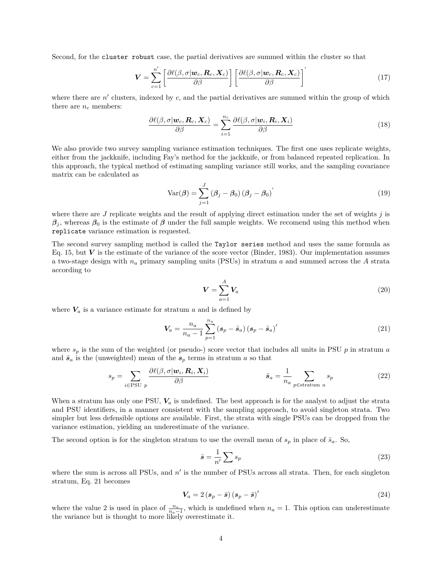Second, for the cluster robust case, the partial derivatives are summed within the cluster so that

$$
\boldsymbol{V} = \sum_{c=1}^{n'} \left[ \frac{\partial \ell(\beta, \sigma | \boldsymbol{w}_c, \boldsymbol{R}_c, \boldsymbol{X}_c)}{\partial \beta} \right] \left[ \frac{\partial \ell(\beta, \sigma | \boldsymbol{w}_c, \boldsymbol{R}_c, \boldsymbol{X}_c)}{\partial \beta} \right]'
$$
(17)

where there are *n'* clusters, indexed by *c*, and the partial derivatives are summed within the group of which there are  $n_c$  members:

$$
\frac{\partial \ell(\beta, \sigma | \mathbf{w}_c, \mathbf{R}_c, \mathbf{X}_c)}{\partial \beta} = \sum_{i=1}^{n_c} \frac{\partial \ell(\beta, \sigma | \mathbf{w}_i, \mathbf{R}_i, \mathbf{X}_i)}{\partial \beta}
$$
(18)

We also provide two survey sampling variance estimation techniques. The first one uses replicate weights, either from the jackknife, including Fay's method for the jackknife, or from balanced repeated replication. In this approach, the typical method of estimating sampling variance still works, and the sampling covariance matrix can be calculated as

$$
Var(\beta) = \sum_{j=1}^{J} (\beta_j - \beta_0) (\beta_j - \beta_0)'
$$
\n(19)

where there are *J* replicate weights and the result of applying direct estimation under the set of weights *j* is  $\beta_j$ , whereas  $\beta_0$  is the estimate of  $\beta$  under the full sample weights. We recomend using this method when replicate variance estimation is requested.

The second survey sampling method is called the Taylor series method and uses the same formula as Eq. [15,](#page-2-1) but  $V$  is the estimate of the variance of the score vector (Binder, 1983). Our implementation assumes a two-stage design with *n<sup>a</sup>* primary sampling units (PSUs) in stratum *a* and summed across the *A* strata according to

<span id="page-3-0"></span>
$$
\mathbf{V} = \sum_{a=1}^{A} \mathbf{V}_a \tag{20}
$$

where  $V_a$  is a variance estimate for stratum *a* and is defined by

$$
V_a = \frac{n_a}{n_a - 1} \sum_{p=1}^{n_a} (s_p - \bar{s}_a) (s_p - \bar{s}_a)'
$$
 (21)

where *s<sup>p</sup>* is the sum of the weighted (or pseudo-) score vector that includes all units in PSU *p* in stratum *a* and  $\bar{s}_a$  is the (unweighted) mean of the  $s_p$  terms in stratum *a* so that

$$
s_p = \sum_{i \in \text{PSU } p} \frac{\partial \ell(\beta, \sigma | \mathbf{w}_i, \mathbf{R}_i, \mathbf{X}_i)}{\partial \beta} \qquad \qquad \bar{s}_a = \frac{1}{n_a} \sum_{p \in \text{stratum } a} s_p \qquad (22)
$$

When a stratum has only one PSU,  $V_a$  is undefined. The best approach is for the analyst to adjust the strata and PSU identifiers, in a manner consistent with the sampling approach, to avoid singleton strata. Two simpler but less defensible options are available. First, the strata with single PSUs can be dropped from the variance estimation, yielding an underestimate of the variance.

The second option is for the singleton stratum to use the overall mean of  $s_p$  in place of  $\bar{s}_a$ . So,

$$
\bar{s} = \frac{1}{n'} \sum s_p \tag{23}
$$

where the sum is across all PSUs, and  $n'$  is the number of PSUs across all strata. Then, for each singleton stratum, Eq. [21](#page-3-0) becomes

$$
V_a = 2\left(s_p - \bar{s}\right)\left(s_p - \bar{s}\right)'
$$
\n(24)

where the value 2 is used in place of  $\frac{n_a}{n_a-1}$ , which is undefined when  $n_a = 1$ . This option can underestimate the variance but is thought to more likely overestimate it.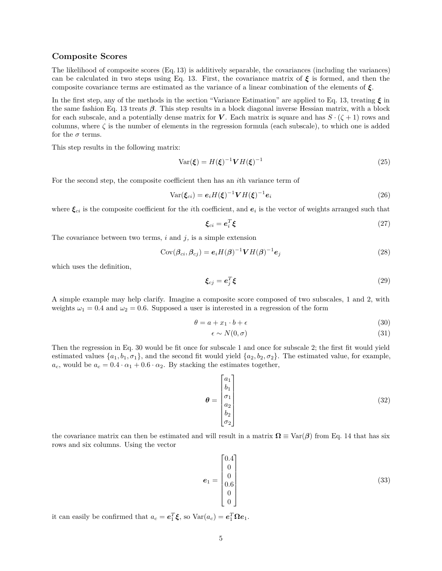#### **Composite Scores**

The likelihood of composite scores (Eq. [13\)](#page-2-2) is additively separable, the covariances (including the variances) can be calculated in two steps using Eq. [13.](#page-2-2) First, the covariance matrix of  $\xi$  is formed, and then the composite covariance terms are estimated as the variance of a linear combination of the elements of *ξ*.

In the first step, any of the methods in the section "Variance Estimation" are applied to Eq. [13,](#page-2-2) treating  $\xi$  in the same fashion Eq. [13](#page-2-2) treats *β*. This step results in a block diagonal inverse Hessian matrix, with a block for each subscale, and a potentially dense matrix for *V*. Each matrix is square and has  $S \cdot (\zeta + 1)$  rows and columns, where  $\zeta$  is the number of elements in the regression formula (each subscale), to which one is added for the  $\sigma$  terms.

This step results in the following matrix:

$$
\text{Var}(\xi) = H(\xi)^{-1} V H(\xi)^{-1} \tag{25}
$$

For the second step, the composite coefficient then has an *i*th variance term of

$$
\text{Var}(\xi_{ci}) = \mathbf{e}_i H(\xi)^{-1} V H(\xi)^{-1} \mathbf{e}_i \tag{26}
$$

where  $\xi_{ci}$  is the composite coefficient for the *i*th coefficient, and  $e_i$  is the vector of weights arranged such that

$$
\xi_{ci} = e_i^T \xi \tag{27}
$$

The covariance between two terms,  $i$  and  $j$ , is a simple extension

$$
Cov(\beta_{ci}, \beta_{cj}) = \mathbf{e}_i H(\beta)^{-1} V H(\beta)^{-1} \mathbf{e}_j
$$
\n(28)

which uses the definition,

$$
\xi_{cj} = e_j^T \xi \tag{29}
$$

A simple example may help clarify. Imagine a composite score composed of two subscales, 1 and 2, with weights  $\omega_1 = 0.4$  and  $\omega_2 = 0.6$ . Supposed a user is interested in a regression of the form

$$
\theta = a + x_1 \cdot b + \epsilon \tag{30}
$$

<span id="page-4-0"></span>
$$
\epsilon \sim N(0, \sigma) \tag{31}
$$

Then the regression in Eq. [30](#page-4-0) would be fit once for subscale 1 and once for subscale 2; the first fit would yield estimated values  $\{a_1, b_1, \sigma_1\}$ , and the second fit would yield  $\{a_2, b_2, \sigma_2\}$ . The estimated value, for example,  $a_c$ , would be  $a_c = 0.4 \cdot \alpha_1 + 0.6 \cdot \alpha_2$ . By stacking the estimates together,

$$
\theta = \begin{bmatrix} a_1 \\ b_1 \\ \sigma_1 \\ a_2 \\ b_2 \\ \sigma_2 \end{bmatrix}
$$
 (32)

the covariance matrix can then be estimated and will result in a matrix  $\Omega \equiv \text{Var}(\beta)$  from Eq. [14](#page-2-3) that has six rows and six columns. Using the vector

$$
e_1 = \begin{bmatrix} 0.4 \\ 0 \\ 0 \\ 0.6 \\ 0 \\ 0 \end{bmatrix}
$$
 (33)

it can easily be confirmed that  $a_c = e_1^T \boldsymbol{\xi}$ , so  $\text{Var}(a_c) = e_1^T \Omega e_1$ .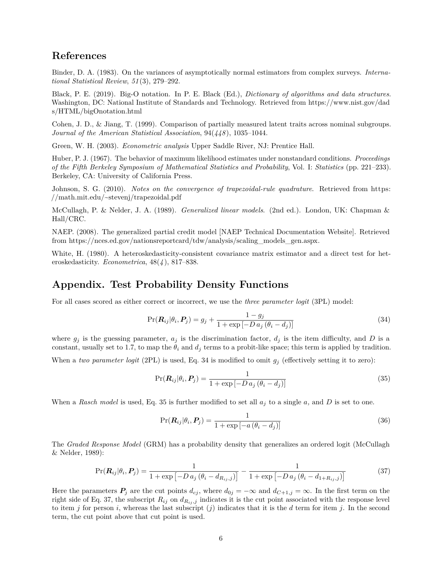### **References**

Binder, D. A. (1983). On the variances of asymptotically normal estimators from complex surveys. *International Statistical Review, 51(3), 279–292.* 

Black, P. E. (2019). Big-O notation. In P. E. Black (Ed.), *Dictionary of algorithms and data structures*. Washington, DC: National Institute of Standards and Technology. Retrieved from [https://www.nist.gov/dad](https://www.nist.gov/dads/HTML/bigOnotation.html) [s/HTML/bigOnotation.html](https://www.nist.gov/dads/HTML/bigOnotation.html)

Cohen, J. D., & Jiang, T. (1999). Comparison of partially measured latent traits across nominal subgroups. *Journal of the American Statistical Association*,  $94(448)$ ,  $1035-1044$ .

Green, W. H. (2003). *Econometric analysis* Upper Saddle River, NJ: Prentice Hall.

Huber, P. J. (1967). The behavior of maximum likelihood estimates under nonstandard conditions. *Proceedings of the Fifth Berkeley Symposium of Mathematical Statistics and Probability*, Vol. I: *Statistics* (pp. 221–233). Berkeley, CA: University of California Press.

Johnson, S. G. (2010). *Notes on the convergence of trapezoidal-rule quadrature*. Retrieved from [https:](https://math.mit.edu/~stevenj/trapezoidal.pdf) [//math.mit.edu/~stevenj/trapezoidal.pdf](https://math.mit.edu/~stevenj/trapezoidal.pdf)

McCullagh, P. & Nelder, J. A. (1989). *Generalized linear models*. (2nd ed.). London, UK: Chapman & Hall/CRC.

NAEP. (2008). The generalized partial credit model [NAEP Technical Documentation Website]. Retrieved from [https://nces.ed.gov/nationsreportcard/tdw/analysis/scaling\\_models\\_gen.aspx.](https://nces.ed.gov/nationsreportcard/tdw/analysis/scaling_models_gen.aspx)

White, H. (1980). A heteroskedasticity-consistent covariance matrix estimator and a direct test for heteroskedasticity. *Econometrica*,  $48(4)$ ,  $817-838$ .

### **Appendix. Test Probability Density Functions**

For all cases scored as either correct or incorrect, we use the *three parameter logit* (3PL) model:

<span id="page-5-0"></span>
$$
Pr(\boldsymbol{R}_{ij}|\theta_i, \boldsymbol{P}_j) = g_j + \frac{1 - g_j}{1 + \exp[-D a_j (\theta_i - d_j)]}
$$
\n(34)

where  $g_j$  is the guessing parameter,  $a_j$  is the discrimination factor,  $d_j$  is the item difficulty, and *D* is a constant, usually set to 1.7, to map the  $\theta_i$  and  $d_j$  terms to a probit-like space; this term is applied by tradition.

When a *two parameter logit* (2PL) is used, Eq. [34](#page-5-0) is modified to omit  $g_j$  (effectively setting it to zero):

$$
Pr(\boldsymbol{R}_{ij}|\theta_i, \boldsymbol{P}_j) = \frac{1}{1 + \exp[-D a_j (\theta_i - d_j)]}
$$
(35)

When a *Rasch model* is used, Eq. [35](#page-5-1) is further modified to set all  $a_j$  to a single a, and D is set to one.

<span id="page-5-2"></span><span id="page-5-1"></span>
$$
Pr(\boldsymbol{R}_{ij}|\theta_i, \boldsymbol{P}_j) = \frac{1}{1 + \exp[-a(\theta_i - d_j)]}
$$
(36)

The *Graded Response Model* (GRM) has a probability density that generalizes an ordered logit (McCullagh & Nelder, 1989):

$$
Pr(\mathbf{R}_{ij}|\theta_i, \mathbf{P}_j) = \frac{1}{1 + \exp[-D a_j (\theta_i - d_{R_{ij},j})]} - \frac{1}{1 + \exp[-D a_j (\theta_i - d_{1+R_{ij},j})]}
$$
(37)

Here the parameters  $P_j$  are the cut points  $d_{cj}$ , where  $d_{0j} = -\infty$  and  $d_{C+1,j} = \infty$ . In the first term on the right side of Eq. [37,](#page-5-2) the subscript  $R_{ij}$  on  $d_{R_{ij},j}$  indicates it is the cut point associated with the response level to item *j* for person *i*, whereas the last subscript (*j*) indicates that it is the *d* term for item *j*. In the second term, the cut point above that cut point is used.